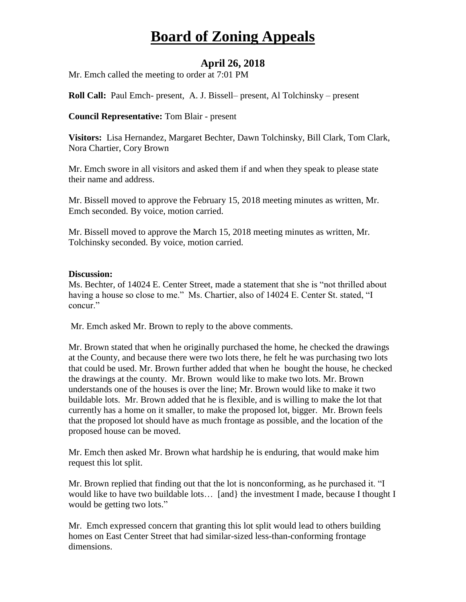# **Board of Zoning Appeals**

## **April 26, 2018**

Mr. Emch called the meeting to order at 7:01 PM

**Roll Call:** Paul Emch- present, A. J. Bissell– present, Al Tolchinsky – present

#### **Council Representative:** Tom Blair - present

**Visitors:** Lisa Hernandez, Margaret Bechter, Dawn Tolchinsky, Bill Clark, Tom Clark, Nora Chartier, Cory Brown

Mr. Emch swore in all visitors and asked them if and when they speak to please state their name and address.

Mr. Bissell moved to approve the February 15, 2018 meeting minutes as written, Mr. Emch seconded. By voice, motion carried.

Mr. Bissell moved to approve the March 15, 2018 meeting minutes as written, Mr. Tolchinsky seconded. By voice, motion carried.

#### **Discussion:**

Ms. Bechter, of 14024 E. Center Street, made a statement that she is "not thrilled about having a house so close to me." Ms. Chartier, also of 14024 E. Center St. stated, "I concur."

Mr. Emch asked Mr. Brown to reply to the above comments.

Mr. Brown stated that when he originally purchased the home, he checked the drawings at the County, and because there were two lots there, he felt he was purchasing two lots that could be used. Mr. Brown further added that when he bought the house, he checked the drawings at the county. Mr. Brown would like to make two lots. Mr. Brown understands one of the houses is over the line; Mr. Brown would like to make it two buildable lots. Mr. Brown added that he is flexible, and is willing to make the lot that currently has a home on it smaller, to make the proposed lot, bigger. Mr. Brown feels that the proposed lot should have as much frontage as possible, and the location of the proposed house can be moved.

Mr. Emch then asked Mr. Brown what hardship he is enduring, that would make him request this lot split.

Mr. Brown replied that finding out that the lot is nonconforming, as he purchased it. "I would like to have two buildable lots... [and ] the investment I made, because I thought I would be getting two lots."

Mr. Emch expressed concern that granting this lot split would lead to others building homes on East Center Street that had similar-sized less-than-conforming frontage dimensions.